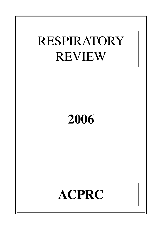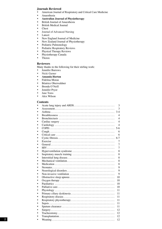# **Journals Reviewed**

- American Journal of Respiratory and Critical Care Medicine
- Anaesthesia<br>• Australian
- **Australian Journal of Physiotherapy**
- British Journal of Anaesthesia<br>• Rritish Medical Journal
- British Medical Journal<br>• Chest
- Chest<br>• Iourna
- Journal of Advanced Nursing<br>• I ancet
- Lancet<br>• New En
- New England Journal of Medicine<br>• New Zealand Journal of Physiother
- New Zealand Journal of Physiotherapy<br>• Pediatric Pulmonology
- Pediatric Pulmonology<br>• Pediatric Respiratory R
- Pediatric Respiratory Reviews<br>• Physical Therany Reviews
- Physical Therapy Reviews<br>• Physiotherapy Canada
- Physiotherapy Canada<br>• Thorax
- Thorax

# **Reviewers**

Many thanks to the following for their stirling work:

- Jennifer Burrows<br>• Nicki Garner
- Nicki Garner<br>• **Amanda Hou**
- **Amanda Horton**
- Fidelma Moran
- Béatrice Oberwaldner
- Brenda O'Neill
- Jennifer Pryor
- Jane Toms
- Alex Wilson

# **Contents**

| Contents  |                                                                                                            |                |
|-----------|------------------------------------------------------------------------------------------------------------|----------------|
|           |                                                                                                            | 3              |
|           |                                                                                                            | 3              |
|           |                                                                                                            | $3-4$          |
|           |                                                                                                            | 4              |
|           |                                                                                                            | $\overline{4}$ |
|           |                                                                                                            | $\overline{4}$ |
|           |                                                                                                            | $\overline{4}$ |
|           |                                                                                                            | $5-6$          |
|           |                                                                                                            | 6              |
| $\bullet$ |                                                                                                            | 6              |
|           |                                                                                                            | $6 - 7$        |
| $\bullet$ |                                                                                                            | 7              |
|           |                                                                                                            | 7              |
|           |                                                                                                            | 7              |
|           | Hyperventilation syndrome                                                                                  | 8              |
|           |                                                                                                            | 8              |
|           |                                                                                                            | 8              |
|           |                                                                                                            | 8              |
|           |                                                                                                            | 8              |
|           |                                                                                                            | 9              |
|           |                                                                                                            | 9              |
|           |                                                                                                            | 9              |
|           |                                                                                                            | 10             |
|           |                                                                                                            | 10             |
|           |                                                                                                            | 10             |
|           |                                                                                                            | 10             |
| $\bullet$ |                                                                                                            | 11             |
| ٠         |                                                                                                            | 11             |
| ٠         |                                                                                                            | 11             |
|           | Respiratory physiotherapy                                                                                  | 11             |
|           |                                                                                                            | 11             |
|           |                                                                                                            | 11             |
|           |                                                                                                            | 12             |
|           | $Traches to my \ldots \ldots \ldots \ldots \ldots \ldots \ldots \ldots \ldots \ldots \ldots \ldots \ldots$ | 12             |
|           |                                                                                                            | 12             |
|           |                                                                                                            | 12             |
|           |                                                                                                            |                |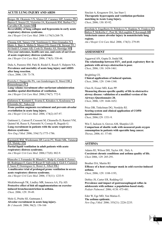# **ACUTE LUNG INJURY AND ARDS**

[Borges JB, Okamoto VN, Matos GF, Caramez MP, Arantes PR,](http://www.ncbi.nlm.nih.gov/entrez/query.fcgi?db=pubmed&cmd=Retrieve&dopt=AbstractPlus&list_uids=16690982&query_hl=19&itool=pubmed_DocSum)  [Barros F, Souza CE, Victorino JA, Kacmarek RM, Barbas CS,](http://www.ncbi.nlm.nih.gov/entrez/query.fcgi?db=pubmed&cmd=Retrieve&dopt=AbstractPlus&list_uids=16690982&query_hl=19&itool=pubmed_DocSum)  [Carvalho CR, Amato MB.](http://www.ncbi.nlm.nih.gov/entrez/query.fcgi?db=pubmed&cmd=Retrieve&dopt=AbstractPlus&list_uids=16690982&query_hl=19&itool=pubmed_DocSum)

**Reversibility of lung collapse and hypoxemia in early acute respiratory distress syndrome.**

*Am J Respir Crit Care Med*. 2006 1;174(3):268-78.

[Cheung AM, Tansey CM, Tomlinson G, Diaz-Granados N,](http://www.ncbi.nlm.nih.gov/entrez/query.fcgi?db=pubmed&cmd=Retrieve&dopt=AbstractPlus&list_uids=16763220&query_hl=24&itool=pubmed_DocSum)  [Matte A, Barr A, Mehta S, Mazer CD, Guest CB, Stewart TE,](http://www.ncbi.nlm.nih.gov/entrez/query.fcgi?db=pubmed&cmd=Retrieve&dopt=AbstractPlus&list_uids=16763220&query_hl=24&itool=pubmed_DocSum)  [Al-Saidi F, Cooper AB, Cook D, Slutsky AS, Herridge MS](http://www.ncbi.nlm.nih.gov/entrez/query.fcgi?db=pubmed&cmd=Retrieve&dopt=AbstractPlus&list_uids=16763220&query_hl=24&itool=pubmed_DocSum). **Two-year outcomes, health care use, and costs of survivors of acute respiratory distress syndrome.**

*Am J Respir Crit Care Med*. 2006; 174(5): 538-44.

Dulu A, Pastores SM, Park B, Riedel E, Rusch V, Halpern NA. **Prevalence and mortality of acute lung injury and ARDS after lung resection.** *Chest*, 2006; 130: 73-78.

[Frerichs I, Dargaville PA, van Genderingen H, Morel DR,](http://www.ncbi.nlm.nih.gov/entrez/query.fcgi?db=pubmed&cmd=Retrieve&dopt=AbstractPlus&list_uids=16840739&query_hl=27&itool=pubmed_DocSum)  [Rimensberger PC.](http://www.ncbi.nlm.nih.gov/entrez/query.fcgi?db=pubmed&cmd=Retrieve&dopt=AbstractPlus&list_uids=16840739&query_hl=27&itool=pubmed_DocSum) **Lung volume recruitment after surfactant administration modifies spatial distribution of ventilation.**

*Am J Respir Crit Care Med*. 2006;174(7): 772-9.

[Galiatsou E, Kostanti E, Svarna E, Kitsakos A, Koulouras V,](http://www.ncbi.nlm.nih.gov/entrez/query.fcgi?db=pubmed&cmd=Retrieve&dopt=AbstractPlus&list_uids=16645177&query_hl=18&itool=pubmed_DocSum)  [Efremidis SC, Nakos G.](http://www.ncbi.nlm.nih.gov/entrez/query.fcgi?db=pubmed&cmd=Retrieve&dopt=AbstractPlus&list_uids=16645177&query_hl=18&itool=pubmed_DocSum)

**Prone position augments recruitment and prevents alveolar overinflation in acute lung injury.**

*Am J Respir Crit Care Med*. 2006; 174(2):187-97.

Gattinoni L, Caironi P, Cressoni M, Chiumello D, Ranieri VM, Quintel M, Russo S, Patronitti N, Cornejo R, Bugedo G. **Lung recruitment in patients with the acute respiratory distress syndrome.**

*New Eng J Med.* 2006; 354(17):1775-1786.

[Kacmarek RM, Wiedemann HP, Lavin PT, Wedel MK, Tutuncu](http://www.ncbi.nlm.nih.gov/entrez/query.fcgi?db=pubmed&cmd=Retrieve&dopt=AbstractPlus&list_uids=16254269&query_hl=32&itool=pubmed_docsum)  [AS, Slutsky AS.](http://www.ncbi.nlm.nih.gov/entrez/query.fcgi?db=pubmed&cmd=Retrieve&dopt=AbstractPlus&list_uids=16254269&query_hl=32&itool=pubmed_docsum)

**Partial liquid ventilation in adult patients with acute respiratory distress syndrome.**

*Am J Respir Crit Care Med.* 2006;173(8): 882-9.

[Mancebo J, Fernandez R, Blanch L, Rialp G, Gordo F, Ferrer](http://www.ncbi.nlm.nih.gov/entrez/query.fcgi?db=pubmed&cmd=Retrieve&dopt=AbstractPlus&list_uids=16556697&query_hl=34&itool=pubmed_DocSum)  [M, Rodriguez F, Garro P, Ricart P, Vallverdu I, Gich I, Castano](http://www.ncbi.nlm.nih.gov/entrez/query.fcgi?db=pubmed&cmd=Retrieve&dopt=AbstractPlus&list_uids=16556697&query_hl=34&itool=pubmed_DocSum)  [J, Saura P, Dominguez G, Bonet A, Albert RK.](http://www.ncbi.nlm.nih.gov/entrez/query.fcgi?db=pubmed&cmd=Retrieve&dopt=AbstractPlus&list_uids=16556697&query_hl=34&itool=pubmed_DocSum) **A multicenter trial of prolonged prone ventilation in severe acute respiratory distress syndrome.**

*Am J Respir Crit Care Med*. 2006; 173(11): 1233-9.

Mickleborough TK, Lindley MR, Ionescu AA, Fly AD. **Protective effect of fish oil supplementation on exerciseinduced bronchoconstriction in asthma.** *Chest,* 2006; 129: 39-49.

Mols G, Priebe HJ, Guttmann J. **Alveolar recruitment in acute lung injury.**  *Br J Anaesth.* 2006; 96(2): 156-166

Sinclair A, Kregenow DA, Ian Starr I. **Therapeutic hypercapnia and ventilation-perfusion matching in Acute Lung Injury.** *Chest*, 2006; 130: 85-92.

[Tsuchida S, Engelberts D, Peltekova V, Hopkins N, Frndova H,](http://www.ncbi.nlm.nih.gov/entrez/query.fcgi?db=pubmed&cmd=Retrieve&dopt=AbstractPlus&list_uids=16675780&query_hl=21&itool=pubmed_DocSum)  [Babyn P, McKerlie C, Post M, McLoughlin P, Kavanagh BP](http://www.ncbi.nlm.nih.gov/entrez/query.fcgi?db=pubmed&cmd=Retrieve&dopt=AbstractPlus&list_uids=16675780&query_hl=21&itool=pubmed_DocSum). **Atelectasis causes alveolar injury in nonatelectatic lung regions.**

*Am J Respir Crit Care Med*. 2006; 174(3): 279-89.

# **ASSESSMENT**

Aggarwal AN, Gupta D, Jindal SK. The relationship between  $\text{FEV}_1$  and peak expiratory flow in **patients with airways obstruction is poor.** *Chest*, 2006; 130: 1454-1461.

Brightling CE. **Clinical applications of induced sputum.** *Chest*, 2006; 129: 1344-1348.

Chen H, Eisner MD, Katz PP. **Measuring disease-specific quality of life in obstructive airway disease: validation of a modified version of the Airways Questionnaire 20.** *Chest*, 2006; 129: 1644-1652.

Price DB, Tinkelman DG, Nordyke RJ. **Scoring system and clinical application of COPD questionnaires.**  *Chest*, 2006;129: 1531-9.

Win T, Jackson A, Groves AM, Sharples LD. **Comparison of shuttle walk with measured peak oxygen consumption in patients with operable lung cancer.** *Thorax*, 2006; 61: 57-60.

# **ASTHMA**

Adams RJ, Wilson DH, Taylor AW, Daly A. **Coexistent chronic conditions and asthma quality of life.** *Chest* 2006, 129: 285-291.

Beuther DA, Martin RJ. **Efficacy of a heat exchanger mask in cold exercise-induced asthma.** *Chest*, 2006; 129: 1188-1193,

Debley JS, Carter ER, Redding GJ. **Prevalence and impact of gastrooesophageal reflux in adolescents with asthma: a population-based study.** *Pediatr Pulmonol.* 2006; 4138: 475-481.

Eder W, Ege MD, Von Mutius E. **The asthma epidemic.** *New Eng J Med.* 2006; 355(21): 2226-2235.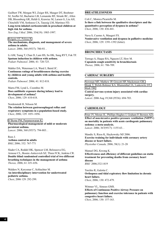Guilbert TW, Morgan WJ, Zeiger RS, Mauger DT, Boehmer SJ, Szefler SJ, Bacharier LB, Lemanske RF, Strunk RC, Allen DB, Bloomberg GR, Heldt G, Krawiec M, Larsen G, Liu AH, Chinchilli VM, Sorkness CA, Taussig LM, Martinez FD. **Long-term inhaled corticosteroids in preschool children at high risk for asthma.**

*New Eng J Med.* 2006; 354(19): 1985-1997.

[Holgate ST, Polosa R.](http://www.ncbi.nlm.nih.gov/entrez/query.fcgi?db=pubmed&cmd=Retrieve&dopt=AbstractPlus&list_uids=16935689&query_hl=6&itool=pubmed_docsum) **The mechanisms, diagnosis, and management of severe asthma in adults.** *Lancet*. 2006; 368 (9537): 780-93. .

Li AM, Tsang T, Chan D, Lam HS, So HK, Sung RYT, Fok TF. **Sputum induction in children with asthma.** *Pediatr Pulmonol.* 2006; 41: 720-725.

Mahler DA, Waterman LA, Ward J, Baird JC. **Continuous ratings of breathlessness during exercise by children and young adults with asthma and healthy controls.**

*Pediatr Pulmonol.* 2006; 41: 812-818.

Marra FM, Lynd L, Coombes M. **Does antibiotic exposure during infancy lead to development of asthma?** *Chest*, 2006; 129: 610-618.

Nordenstedt H, Nilsson M. **The relation between gastroesophageal reflux and respiratory symptoms in a population-based study.** *Chest*, 2006; 129: 1051-1056.

[O'Byrne PM, Parameswaran K.](http://www.ncbi.nlm.nih.gov/entrez/query.fcgi?db=pubmed&cmd=Retrieve&dopt=AbstractPlus&list_uids=16935690&query_hl=7&itool=pubmed_DocSum) **Pharmacological management of mild or moderate persistent asthma.** *Lancet*. 2006; 368 (9537): 794-803. .

Rees J. **Asthma control in adults** *BMJ*, 2006; 332: 767-771

Slader CA, Reddel HK, Spencer LM, Belousova EG, Armour CL, Bosnic-Anticevich SZ, Thien FCK, Jenkins CR. **Double blind randomised controlled trial of two different breathing techniques in the management of asthma** *Thorax,* 2006; 61: 651-656.

Walders N, Kercsmar C, Schluchter M. **An interdisciplinary intervention for undertreated pediatric asthma.** *Chest*, 2006 129: 292-299.

# **BREATHLESSNESS**

Coli C, Monica Picariello M.

**Is there a link between the qualitative descriptors and the quantitative perception of dyspnea in asthma?** *Chest*, 2006; 130: 436-441.

Nava S, Cuomo A, Maugeri FS.

**Noninvasive ventilation and dyspnea in palliative medicine** *Chest*, 2006; 129: 1391-1392 (letter).

# **BRONCHIECTASIS**

Torrego A, Haque RA, Nguyen LT, Hew M. **Capsaicin cough sensitivity in bronchiectasis** *Thorax,* 2006; 61: 706-709.

### **CARDIAC SURGERY**

[Newman MF, Mathew JP, Grocott HP, Mackensen GB,](http://www.ncbi.nlm.nih.gov/entrez/query.fcgi?db=pubmed&cmd=Retrieve&dopt=AbstractPlus&list_uids=16920475&query_hl=10&itool=pubmed_docsum)  [Monk T, Welsh-Bohmer KA, Blumenthal JA, Laskowitz DT,](http://www.ncbi.nlm.nih.gov/entrez/query.fcgi?db=pubmed&cmd=Retrieve&dopt=AbstractPlus&list_uids=16920475&query_hl=10&itool=pubmed_docsum)  [Mark DB.](http://www.ncbi.nlm.nih.gov/entrez/query.fcgi?db=pubmed&cmd=Retrieve&dopt=AbstractPlus&list_uids=16920475&query_hl=10&itool=pubmed_docsum) **Central nervous system injury associated with cardiac surgery.**

*Lancet*. 2006 Aug 19;368 (9536): 694-703.

# **CARDIOLOGY**

[Peter JV, Moran JL, Phillips-Hughes J, Graham P, Bersten AD.](http://www.ncbi.nlm.nih.gov/entrez/query.fcgi?db=pubmed&cmd=Retrieve&dopt=AbstractPlus&list_uids=16616558&query_hl=14&itool=pubmed_docsum) **Effect of non-invasive positive pressure ventilation (NIPPV) on mortality in patients with acute cardiogenic pulmonary oedema: a meta-analysis.** *Lancet*. 2006; 367(9517): 1155-63. .

Mandic S, Riess K, Haykowsky MJ 2006. **Exercise training for individuals with coronary artery disease or heart failure.**  *Physiother Canada,* 2006; 58(1): 21-28

Manuel DG, Kwong K. **Effectiveness and efficiency of different guidelines on statin treatment for preventing deaths from coronary heart disease** *BMJ* 2006;332:1419

Torchio R, Gulotta C. **Orthopnea and tidal expiratory flow limitation in chronic heart failure.** *Chest*, 2006; 130: 472-479.

Wittmer VL, Simoes GMS. **Effects of Continuous Positive Airway Pressure on pulmonary function and exercise tolerance in patients with congestive heart failure.** *Chest*, 2006; 130: 157-163.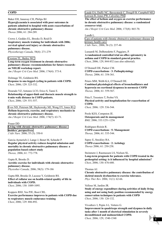### **COPD**

Baker EH, Janaway CH, Philips BJ. **Hyperglycaemia is associated with poor outcomes in patients admitted to hospital with acute exacerbations of chronic obstructive pulmonary disease** *Thorax* 2006; 61: 284-289.

Crowe J, Geddes EL, Brooks D, Reid D. **Inspiratory muscle training for individuals with 2006; cervical spinal cord injury or chronic obstructive pulmonary disease.**  *Physiotherapy Canada,* 58(4): 271-279

[Croxton TL, Bailey WC.](http://www.ncbi.nlm.nih.gov/entrez/query.fcgi?db=pubmed&cmd=Retrieve&dopt=AbstractPlus&list_uids=16614349&query_hl=22&itool=pubmed_docsum) **Long-term oxygen treatment in chronic obstructive pulmonary disease: recommendations for future research: an NHLBI workshop report.** *Am J Respir Crit Care Med*. 2006; 174(4): 373-8.

Dolmage TE, Goldstein RS. **Response to one-legged cycling in patients with COPD.** *Chest,* 2006; 129: 325-332.

Dourado VZ, Antunes LCO, Erico S, Tanni E. **Relationship of upper-limb and thoracic muscle strength to 6-min walk distance in COPD patients.** *Chest*, 2006; 129: 551-557.

[Eves ND, Petersen SR, Haykowsky MJ, Wong EY, Jones RL.](http://www.ncbi.nlm.nih.gov/entrez/query.fcgi?db=pubmed&cmd=Retrieve&dopt=AbstractPlus&list_uids=16840742&query_hl=26&itool=pubmed_DocSum) **Helium-hyperoxia, exercise, and respiratory mechanics in chronic obstructive pulmonary disease.** *Am J Respir Crit Care Med*. 2006; 174(7): 63-71.

Fraser DD **[Living with chronic obstructive pulmonary disease:](http://web.ebscohost.com/ehost/viewarticle?data=dGJyMPPp44rp2%2fdV0%2bnjisfk5Ie46bdQtai2S7ak63nn5Kx95uXxjL6prUq3pbBIrq2eSa%2bwsVC4qa44v8OkjPDX7Ivf2fKB7eTnfLujsUu0q7ZOrq%2byPurX7H%2b72%2bw%2b4ti7e7bepIzf3btZzJzfhruorki3qa9It62zPuTl8IXf6rt%2b8%2bLqbOPu8gAA&hid=8)  [insiders' perspectives.](http://web.ebscohost.com/ehost/viewarticle?data=dGJyMPPp44rp2%2fdV0%2bnjisfk5Ie46bdQtai2S7ak63nn5Kx95uXxjL6prUq3pbBIrq2eSa%2bwsVC4qa44v8OkjPDX7Ivf2fKB7eTnfLujsUu0q7ZOrq%2byPurX7H%2b72%2bw%2b4ti7e7bepIzf3btZzJzfhruorki3qa9It62zPuTl8IXf6rt%2b8%2bLqbOPu8gAA&hid=8)** *J Adv Nurs.* 2006; 55 (5): 550-8

Garcia-Aymerich J, Lange J, Benet M, Schnohr P. **Regular physical activity reduces hospital admission and mortality in chronic obstructive pulmonary disease: a population based cohort study** *Thorax,* 2006; 61: 772-778.

Gupta R, Brooks D. **Aerobic exercise for individuals with chronic obstructive pulmonary disease.**  *Physiother Canada,* 2006; 58(3): 179-186

Gupta RB, Brooks D, Lacasse Y, Goldstein RS. **Effect of rollator use on health-related quality of life in individuals with COPD.** *Chest,* 2006; 130: 1089-1095.

Koppers RHJ, Vos PJE, Boot CRL. **Exercise performance improves in patients with COPD due to respiratory muscle endurance training** *Chest*, 2006; 129: 886-892.

[Laude EA, Duffy NC, Baveystock C, Dougill B, Campbell MJ,](http://www.ncbi.nlm.nih.gov/entrez/query.fcgi?db=pubmed&cmd=Retrieve&dopt=AbstractPlus&list_uids=16439720&query_hl=31&itool=pubmed_DocSum)  [Lawson R, Jones PW, Calverley PM.](http://www.ncbi.nlm.nih.gov/entrez/query.fcgi?db=pubmed&cmd=Retrieve&dopt=AbstractPlus&list_uids=16439720&query_hl=31&itool=pubmed_DocSum)

**The effect of helium and oxygen on exercise performance in chronic obstructive pulmonary disease: a randomized crossover trial.**

*Am J Respir Crit Care Med*. 2006; 173(8): 865-70.

Lundh L. [Care of patients with chronic obstructive pulmonary disease in](http://web.ebscohost.com/ehost/viewarticle?data=dGJyMPPp44rp2%2fdV0%2bnjisfk5Ie46bdQtai2S7ak63nn5Kx95uXxjL6prUq3pbBIrq2eSbCwrku4prE4zsOkjPDX7Ivf2fKB7eTnfLujsUu0q7ZOrq%2byPurX7H%2b72%2bw%2b4ti7e7bepIzf3btZzJzfhruorki3qbJItqezPuTl8IXf6rt%2b8%2bLqbOPu8gAA&hid=109)  [primary health care.](http://web.ebscohost.com/ehost/viewarticle?data=dGJyMPPp44rp2%2fdV0%2bnjisfk5Ie46bdQtai2S7ak63nn5Kx95uXxjL6prUq3pbBIrq2eSbCwrku4prE4zsOkjPDX7Ivf2fKB7eTnfLujsUu0q7ZOrq%2byPurX7H%2b72%2bw%2b4ti7e7bepIzf3btZzJzfhruorki3qbJItqezPuTl8IXf6rt%2b8%2bLqbOPu8gAA&hid=109) *J Adv Nurs.*, 2006; 56 (3): 237-46

Lusuardi M, DeBenedetto F, Paggiaro, P. **A randomized controlled trial on office spirometry in asthma and COPD in standard general practice.** *Chest*, 2006; 129, 844-852 (see also editorial).

O'Donnell DE, Parker CM. **COPD exacerbations · 3: Pathophysiology** *Thorax,* 2006; 61: 354-361.

Peters MM, Webb KA, O'Donnell DE. **Combined physiological effects of bronchodilators and hyperoxia on exertional dyspnoea in normoxic COPD** *Thorax,* 2006; 61: 559-567.

Pitta F, Troosters T, Probst VS. **Physical activity and hospitalization for exacerbation of COPD.** *Chest,* 2006*;* 129: 536-544.

Poole KES, Compston JE. **Osteoporosis and its management** *BMJ,* 2006; 333:1251-1256

Rodríguez-Roisin R. **COPD exacerbations · 5: Management** *Thorax,* 2006; 61: 535-544.

Sapey E, Stockley RA. **COPD exacerbations · 2: Aetiology** *Thorax* 2006; 61: 250-258.

Steinmetz J, Rasmussen LS, Nielsen SL. **Long-term prognosis for patients with COPD treated in the prehospital setting: is it influenced by hospital admission?** *Chest*, 2006; 130: 676-680.

Thomas AJ. **Chronic obstructive pulmonary disease: the contribution of skeletal muscle dysfunction to exercise tolerance.** *Phys Ther Rev.* 2006; 11(1): 62-66.

Velloso M, Jardim JR. **Study of energy expenditure during activities of daily living using and not using body position recommended by energy conservation techniques in patients with COPD** *Chest*, 2006; 130: 126-132.

Vivodtzev I, Pepin J-L, Vottero G.

**Improvement in quadriceps strength and dyspnea in daily tasks after 1 month of electrical stimulation in severely deconditioned and malnourished COPD.**  *Chest,* 2006; 129, 1540-1548

**15**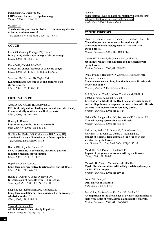Donaldson GC, Wedzicha JA. **COPD exacerbations · 1: Epidemiology** *Thorax,* 2006; 61: 164-168

[Wouters EF.](http://www.ncbi.nlm.nih.gov/entrez/query.fcgi?db=pubmed&cmd=Retrieve&dopt=AbstractPlus&list_uids=16368791&query_hl=13&itool=pubmed_docsum) **Muscle wasting in chronic obstructive pulmonary disease: to bother and to measure!** *Am J Respir Crit Care Med*. 2006;173(1): 4-5.

### **COUGH**

Irwin RS, Ownbey R, Cagle PT, Baker S. **Interpreting the histopathology of chronic cough.** *Chest*, 2006; 130: 362-370.

Kwon N-H, Oh M-J, Min T-H. **Causes and clinical features of subacute cough.**  *Chest,* 2006; 129, 1142-1147 (plus editorial).

Marchant JM, Masters IB, Taylor SM. **Evaluation and outcome of young children with chronic cough.**  *Chest*, 2006; 129, 1132-1141

# **CRITICAL CARE**

Artinian VA, Krayem H, DiGiovine *B.* **Effects of early enteral feeding on the outcome of critically ill mechanically ventilated medical patients.** *Chest*, 2006; 129: 960-967.

Denehy L, Berney S. **Physiotherapy in the intensive care unit.** *Phys Ther Rev* 2006; 11(1): 49-56.

[Griffiths JA, Barber VS, Cuthbertson BH, Young JD.](http://www.ncbi.nlm.nih.gov/entrez/query.fcgi?db=pubmed&cmd=Retrieve&dopt=AbstractPlus&list_uids=16978309&query_hl=10&itool=pubmed_docsum) **A national survey of intensive care follow-up clinics.** *Anaesthesia*. 2006; 61(10): 950-5.

Hardin KH, Seyal M, Stewart T. **Sleep in critically ill chemically paralyzed patients requiring mechanical ventilation** *Chest*, 2006; 129: 1468-1477.

Hopkins RO, Jackson JC. **Long-term neurocognitive function after critical illness.** *Chest*, 2006; 130: 869-878.

Huang L, Quartin A, Jones D, Havlir DV. **Intensive care of patients with HIV infection.** *New Eng J Med.* 2006; 355(2): 173-181.

Laupland KB, Kirkpatrick AW, Kortbeek JB. **Long-term mortality outcome associated with prolonged admission to the ICU.** *Chest*, 2006; 129: 954-959.

[Moss M, Burnham EL.](http://www.ncbi.nlm.nih.gov/entrez/query.fcgi?db=pubmed&cmd=Retrieve&dopt=AbstractPlus&list_uids=17189035&query_hl=3&itool=pubmed_docsum) **Alcohol abuse in the critically ill patient.** *Lancet*. 2006; 368(9554): 2231-42.

Numata Y. [Nurse staffing levels and hospital mortality in critical care](http://web.ebscohost.com/ehost/viewarticle?data=dGJyMPPp44rp2%2fdV0%2bnjisfk5Ie46bdQtai2S7ak63nn5Kx95uXxjL6prUq3pbBIrq2eSa%2bwrki4prE4v8OkjPDX7Ivf2fKB7eTnfLujsUu0q7ZOrq%2byPurX7H%2b72%2bw%2b4ti7e7bepIzf3btZzJzfhruorki3qa9Ir6ixPuTl8IXf6rt%2b8%2bLqbOPu8gAA&hid=108)  [settings: literature review and meta-analysis.](http://web.ebscohost.com/ehost/viewarticle?data=dGJyMPPp44rp2%2fdV0%2bnjisfk5Ie46bdQtai2S7ak63nn5Kx95uXxjL6prUq3pbBIrq2eSa%2bwrki4prE4v8OkjPDX7Ivf2fKB7eTnfLujsUu0q7ZOrq%2byPurX7H%2b72%2bw%2b4ti7e7bepIzf3btZzJzfhruorki3qa9Ir6ixPuTl8IXf6rt%2b8%2bLqbOPu8gAA&hid=108) *J Adv Nurs.* 2006; 55 (4): 435-48

# **CYSTIC FIBROSIS**

Cakir E, Uyan ZS, Ersu H, Karadag B, Karakoc F, Dagli E. **Mucoid impaction: an unusual form of allergic bronchopulmonary aspergillosis in a patient with cystic fibrosis.** *Pediatr Pulmonol.* 2006; 41: 1103-1107.

Cunha MT, Rozov T, de Oliveira RC, Jardim JR. **Six-minute walk test in children and adolescents with cystic fibrosis.** *Pediatr Pulmonol.* 2006; 41: 618-622.

Donaldson SH, Bennett WD, Zeman KL, Knowles MR, Tarran R, Boucher RC. **Mucus clearance and lung function in cystic fibrosis with hypertonic saline.** *New Eng J Med.* 2006; 354(3): 241-250.

Falk B, Nini A, Zigel L, Yahav Y, Aviram M, Rivlin J, Bentur L, Avital A, Dotan R, Blau H. **Effect of low altitude at the Dead Sea on exercise capacity and cardiopulmonary response to exercise in cystic fibrosis patients with moderate to severe lung disease.** *Pediatr Pulmonol.* 2006; 41: 234-241.

Hafen GM, Ranganathan SC, Robertson CF, Robinson PF. **Clinical scoring systems in cystic fibrosis.** *Pediatr Pulmonol.* 2006; 41: 602-617.

[Kalish LA, Waltz DA, Dovey M, Potter-Bynoe G,](http://www.ncbi.nlm.nih.gov/entrez/query.fcgi?db=pubmed&cmd=Retrieve&dopt=AbstractPlus&list_uids=16272450&query_hl=23&itool=pubmed_DocSum) [McAdam AJ, Lipuma JJ, Gerard C, Goldmann D.](http://www.ncbi.nlm.nih.gov/entrez/query.fcgi?db=pubmed&cmd=Retrieve&dopt=AbstractPlus&list_uids=16272450&query_hl=23&itool=pubmed_DocSum) **Impact of Burkholderia dolosa on lung function and survival in cystic fibrosis.** *Am J Respir Crit Care Med*. 2006; 173(4): 421-5.

McMullen AH, Pasta DJ, Frederick PD. **Impact of pregnancy on women with cystic fibrosis.** *Chest*, 2006; 129: 706-711.

Mussaffi H, Prais D, Mei-Zahav M, Blau H. **Cystic fibrosis mutations with widely variable phenotype: the D1152H example.** *Pediatr Pulmonol.* 2006; 41: 250-254.

Porter SR, Scully C **Oral malodour (halitosis)** *BMJ,* 2006; 333: 632-635

Prasad SA, Balfour-Lynn IM, Carr SB, Madge SL. **A comparison of the prevalence of urinary incontinence in girls with cystic fibrosis, asthma, and healthy controls.** *Pediatr Pulmonol.* 2006; 41: 1065-1068.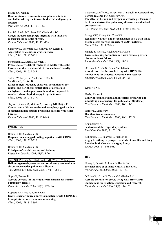Prasad SA, Main E. **Routine airway clearance in asymptomatic infants and babies with cystic fibrosis in the UK: obligatory or obsolete?** *Phys Ther Re.* 2006; 11(1): 11-20.

Rao DS, Infeld MD, Stern RC, Chelimsky TC. **Cough-induced hemiplegic migraine with impaired consciousness in cystic fibrosis.** *Pediatr Pulmonol.* 2006; 41: 171-176.

Shoseyov D, Brownlee KG, Conway SP, Kerem E. **Aspergillus bronchitis in cystic fibrosis.** *Chest*, 2006; 130: 222-226.

Stephenson A, Jamal S, Dowdell T. **Prevalence of vertebral fractures in adults with cystic fibrosis and their relationship to bone mineral density** *Chest*, 2006; 130: 539-544.

Stites SW, Perry GV, Peddicord T, Cox G, McMillan C, Becker B.

**Effect of high-frequency chest wall oscillation on the central and peripheral distribution of aerosolized diethylene triamine penta-acetic acid as compared to standard chest physiotherapy in cystic fibrosis.** *Chest*, 2006; 129: 712-717.

 Taylor L, Corey M, Matlow A, Sweezey NB, Ratjen F. **Comparison of throat swabs and nasopharyngeal suction specimens in non-sputum producing patients with cystic fibrosis.** *Pediatr Pulmonol.* 2006; 41: 839-843.

# **EXERCISE**

Dolmage TE, Goldstein RS. **Response to one-legged cycling in patients with COPD.** *Chest,* 2006; 129: 325-332.

Dolmage TE, Goldstein RS. **Principles of aerobic testing and training.**  *Physiother Canada,* 2006; 58(1): 8-20

[Eves ND, Petersen SR, Haykowsky MJ, Wong EY, Jones RL.](http://www.ncbi.nlm.nih.gov/entrez/query.fcgi?db=pubmed&cmd=Retrieve&dopt=AbstractPlus&list_uids=16840742&query_hl=26&itool=pubmed_DocSum) **Helium-hyperoxia, exercise, and respiratory mechanics in chronic obstructive pulmonary disease.** *Am J Respir Crit Care Med*. 2006; 174(7): 763-71.

Gupta R, Brooks D. **Aerobic exercise for individuals with chronic obstructive pulmonary disease.**  *Physiother Canada,* 2006; 58(3): 179-186

Koppers RHJ, Vos PJE, Boot CRL. **Exercise performance improves in patients with COPD due to respiratory muscle endurance training** *Chest*, 2006; 129: 886-892.

[Laude EA, Duffy NC, Baveystock C, Dougill B, Campbell MJ,](http://www.ncbi.nlm.nih.gov/entrez/query.fcgi?db=pubmed&cmd=Retrieve&dopt=AbstractPlus&list_uids=16439720&query_hl=31&itool=pubmed_DocSum)  [Lawson R, Jones PW, Calverley PM.](http://www.ncbi.nlm.nih.gov/entrez/query.fcgi?db=pubmed&cmd=Retrieve&dopt=AbstractPlus&list_uids=16439720&query_hl=31&itool=pubmed_DocSum) **The effect of helium and oxygen on exercise performance in chronic obstructive pulmonary disease: a randomized crossover trial.**

*Am J Respir Crit Care Med*. 2006; 173(8): 865-70.

Leung ASY, Keung KK, Chan KK. **Reliability, validity, and responsiveness of a 2-Min Walk Test to assess exercise capacity of COPD patients.** *Chest*, 2006; 130: 119-125.

Mandic S, Riess K, Haykowsky MJ 2006. **Exercise training for individuals with coronary artery disease or heart failure.**  *Physiother Canada,* 2006; 58(1): 21-28

O'Brien K, Nixon S, Tynan AM, Glazier RH. **Aerobic exercise for people living with HIV/AIDS: implications for practice, education and research.**  *Physiother Canada,* 2006; 58(2): 114-129

### **GENERAL**

Haxby Abbott J.

**Contributorship, ethics, and integrity: preparing and submitting a manuscript for publication (Editorial)** *New Zealand J Physiother,.2*006; 34(1): 1-2.

Horner D, Larmer PJ. **Health outcome measures** *New Zealand J Physiother.* 2006; 34(1): 17-24.

Koumbourlis AC. **Scoliosis and the respiratory system.** *Paed Resp Rev* 2006; 7: 152-160.

Kubzansky LD, Sparrow L, Jackson B. **Angry breathing: a prospective study of hostility and lung function in the Normative Aging Study** *Thorax,* 2006; 61: 863-868.

### **HIV**

Huang L, Quartin A, Jones D, Havlir DV. **Intensive care of patients with HIV infection.** *New Eng J Med.* 2006; 355(2):173-181.

O'Brien K, Nixon S, Tynan AM, Glazier RH. **Aerobic exercise for people living with HIV/AIDS: implications for practice, education and research.**  *Physiother Canada,* 2006; 58(2): 114-129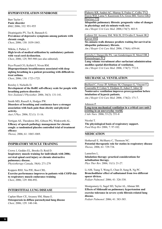# **HYPERVENTILATION SYNDROME**

Barr Taylor C. **Panic disorder** *BMJ*, 2006; 332: 951-955

Dicpinigaitis PV, Tso R, Banauch G*.* **Prevalence of depressive symptoms among patients with chronic cough.** *Chest*, 2006; 130: 1839-1843.

Mikita, J, Parker, J. **High levels of medical utilization by ambulatory patients with vocal cord dysfunction.** *Chest*, 2006; 129, 905-908 (see also editorial).

Prys-Picard CO, Kellett F, Niven RM. **Disproportionate breathlessness associated with deep sighing breathing in a patient presenting with difficult-totreat asthma.** *Chest*, 2006; 130: 1723-1725.

Rowley J, Nicholls D. **Development of the RoBE self-efficacy scale for people with breathing pattern disorders** *New Zealand J Physiother.* 2006; 34(3): 131-141.

Smith MD, Russell A, Hodges PW. **Disorders of breathing and continence have a stronger association with back pain than obesity and physical activity.**

*Aust J Phys*. 2006; 52 (1): 11-16.

Vertigan AE, Theodoros DG, Gibson PG, Winkworth AL. **Efficacy of speech pathology management for chronic cough: a randomised placebo controlled trial of treatment efficacy**

*Thorax,* 2006; 61: 1065-1069.

#### **INSPIRATORY MUSCLE TRAINING**

Crowe J, Geddes EL, Brooks D, Reid D. **Inspiratory muscle training for individuals with 2006; cervical spinal cord injury or chronic obstructive pulmonary disease.**  *Physiotherapy Canada,* 58(4): 271-279

Koppers RHJ, Vos PJE, Boot CRL. **Exercise performance improves in patients with COPD due to respiratory muscle endurance training** *Chest*, 2006; 129: 886-892.

#### **INTERSTITIAL LUNG DISEASE**

Caplan-Shaw CE, Arcasoy SM, Shane E. **Osteoporosis in diffuse parenchymal lung disease** *Chest,* 2006; 129: 140-146.

[Flaherty KR, Andrei AC, Murray S, Fraley C, Colby TV,](http://www.ncbi.nlm.nih.gov/entrez/query.fcgi?db=pubmed&cmd=Retrieve&dopt=AbstractPlus&list_uids=16825656&query_hl=30&itool=pubmed_docsum)  [Travis WD, Lama V, Kazerooni EA, Gross BH, Toews GB,](http://www.ncbi.nlm.nih.gov/entrez/query.fcgi?db=pubmed&cmd=Retrieve&dopt=AbstractPlus&list_uids=16825656&query_hl=30&itool=pubmed_docsum)  [Martinez FJ.](http://www.ncbi.nlm.nih.gov/entrez/query.fcgi?db=pubmed&cmd=Retrieve&dopt=AbstractPlus&list_uids=16825656&query_hl=30&itool=pubmed_docsum) **Idiopathic pulmonary fibrosis: prognostic value of changes** 

**in physiology and six-minute-walk test.** *Am J Respir Crit Care Med*. 2006;174(7): 803-9.

[Lederer DJ, Arcasoy SM, Wilt JS, D'Ovidio F, Sonett JR,](http://www.ncbi.nlm.nih.gov/entrez/query.fcgi?db=pubmed&cmd=Retrieve&dopt=AbstractPlus&list_uids=16778159&query_hl=25&itool=pubmed_DocSum)  [Kawut SM.](http://www.ncbi.nlm.nih.gov/entrez/query.fcgi?db=pubmed&cmd=Retrieve&dopt=AbstractPlus&list_uids=16778159&query_hl=25&itool=pubmed_DocSum) **Six-minute-walk distance predicts waiting list survival in idiopathic pulmonary fibrosis.** *Am J Respir Crit Care Med*. 2006; 174(6): 659-64.

[Frerichs I, Dargaville PA, van Genderingen H, Morel DR,](http://www.ncbi.nlm.nih.gov/entrez/query.fcgi?db=pubmed&cmd=Retrieve&dopt=AbstractPlus&list_uids=16840739&query_hl=27&itool=pubmed_DocSum)  [Rimensberger PC.](http://www.ncbi.nlm.nih.gov/entrez/query.fcgi?db=pubmed&cmd=Retrieve&dopt=AbstractPlus&list_uids=16840739&query_hl=27&itool=pubmed_DocSum) **Lung volume recruitment after surfactant administration modifies spatial distribution of ventilation.** *Am J Respir Crit Care Med*. 2006; 174(7): 772-9.

#### **MECHANICAL VENTILATION**

[Baillard C, Fosse JP, Sebbane M, Chanques G, Vincent F,](http://www.ncbi.nlm.nih.gov/entrez/query.fcgi?db=pubmed&cmd=Retrieve&dopt=AbstractPlus&list_uids=16627862&query_hl=17&itool=pubmed_DocSum)  [Courouble P, Cohen Y, Eledjam JJ, Adnet F, Jaber S.](http://www.ncbi.nlm.nih.gov/entrez/query.fcgi?db=pubmed&cmd=Retrieve&dopt=AbstractPlus&list_uids=16627862&query_hl=17&itool=pubmed_DocSum) **Noninvasive ventilation improves preoxygenation before intubation of hypoxic patients.** *Am J Respir Crit Care Med*. 2006; 174(2): 171-7.

Johnson P.

**[Long-term mechanical ventilation in a critical care unit:](http://web.ebscohost.com/ehost/viewarticle?data=dGJyMPPp44rp2%2fdV0%2bnjisfk5Ie46bdQtai2S7ak63nn5Kx95uXxjL6prUq3pbBIrq2eSa%2bws0y4qbU4v8OkjPDX7Ivf2fKB7eTnfLujsUu0q7ZOrq%2byPurX7H%2b72%2bw%2b4ti7e7bepIzf3btZzJzfhruorki3p7FJt6mxPuTl8IXf6rt%2b8%2bLqbOPu8gAA&hid=13)  [existing in an uneveryday world.](http://web.ebscohost.com/ehost/viewarticle?data=dGJyMPPp44rp2%2fdV0%2bnjisfk5Ie46bdQtai2S7ak63nn5Kx95uXxjL6prUq3pbBIrq2eSa%2bws0y4qbU4v8OkjPDX7Ivf2fKB7eTnfLujsUu0q7ZOrq%2byPurX7H%2b72%2bw%2b4ti7e7bepIzf3btZzJzfhruorki3p7FJt6mxPuTl8IXf6rt%2b8%2bLqbOPu8gAA&hid=13)** *J Adv Nurs.* 2006; 53 (5): 551-8

Nicolai T. **The physiological basis of respiratory support.** *Paed Resp Rev* 2006; 7: 97-102.

## **MEDICATION**

Hothersall E, McSharry C, Thomson NC. **Potential therapeutic role for statins in respiratory disease** *Thorax,* 2006; 61: 729-734.

Lannefors L.

**Inhalation therapy: practical considerations for nebulisation therapy.** *Phys Ther Rev.* 2006; 11(1): 21-27.

Li AM, Tsang T, Wong E, Chan D, Sung R, Ng PC. **Bronchodilator effect of salbutamol from two different spacer divices.**

*Pediatr Pulmonol.* 2006; 41: 326-330.

Montgomery G, Sagel SD, Taylor AL, Abman SH. **Effects of Sildenafil on pulmonary hypertension and exercise tolerance in severe cystic fibrosis-related lung disease.**

*Pediatr Pulmonol.* 2006; 41: 383-385.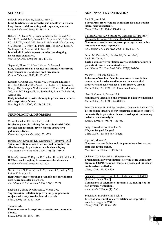### **NEONATES**

Baldwin DN, Pillow JJ, Stocks J, Frey U. **Lung-function tests in neonates and infants with chronic lung disease: tidal breathing and respiratory control.** *Pediatr Pulmonol.* 2006; 41: 391-419.

Ballard RA, Truog WE, Cnaan A, Martin RJ, Ballard PL, Merrill JD, Walsh MC, Durand DJ, Maycock DE, Eichenwald EC, Null DR, Hudak ML, Puri AR, Golombek SG, Courtney SE, Stewart DL, Welty SE, Phibbs RH, Hibbs AM, Luan X, Wadlinger SR, Asselin JM, Coburn CE. **Inhaled nitric oxide in preterm infants undergoing mechanical ventilation.** *New Eng J Med.* 2006; 355(4): 343-353.

Gappa M, Pillow JJ, Allen J, Mayer O, Stocks J. **Lung function tests in neonates and infants with chronic lung disease: lung and chest-wall mechanics.** *Pediatr Pulmonol.* 2006; 41: 291-317.

Kinsella JP, Cutter GR, Walsh WF, Gerstmann DR, Bose CL, Hart CH, Sekar KC, Auten RL, Bhutani VK, Gerdes JS, George TN, Southgate WM, Carriedo H, Couser RJ, Mammel MC, Hall DC, Pappagallo M, Sardesai S, Strain JD, Baier M, Abman SH.

**Early inhaled nitric oxide therapy in premature newborns with respiratory failure.**

*New Eng J Med.* 2006; 355(4): 354-364.

# **NEUROLOGICAL DISORDERS**

Crowe J, Geddes EL, Brooks D, Reid D. **Inspiratory muscle training for individuals with 2006; cervical spinal cord injury or chronic obstructive pulmonary disease.**  *Physiotherapy Canada,* 58(4): 271-279

[DiMarco AF, Kowalski KE, Geertman RT, Hromyak DR.](http://www.ncbi.nlm.nih.gov/entrez/query.fcgi?db=pubmed&cmd=Retrieve&dopt=AbstractPlus&list_uids=16543552&query_hl=35&itool=pubmed_docsum) **Spinal cord stimulation: a new method to produce an effective cough in patients with spinal cord injury.** *Am J Respir Crit Care Med*. 2006; 173(12): 1386-9.

Dohna-Schwanke C, Ragette R, Teschler H, Voit T, Mellies U. **IPPB-assisted coughing in neuromuscular disorders.** *Pediatr Pulmonol.* 2006; 41: 551-557.

[Nicot F, Hart N, Forin V, Boule M, Clement A, Polkey MI,](http://www.ncbi.nlm.nih.gov/entrez/query.fcgi?db=pubmed&cmd=Retrieve&dopt=AbstractPlus&list_uids=16574932&query_hl=15&itool=pubmed_docsum)  [Lofaso F, Fauroux B.](http://www.ncbi.nlm.nih.gov/entrez/query.fcgi?db=pubmed&cmd=Retrieve&dopt=AbstractPlus&list_uids=16574932&query_hl=15&itool=pubmed_docsum) **Respiratory muscle testing: a valuable tool for children with neuromuscular disorders.** *Am J Respir Crit Care Med*. 2006; 174(1): 67-74.

Lechtzin N, Shade D, Clawson L, Wiener CM. **Supramaximal inflation improves lung compliance in subjects with amyotrophic lateral sclerosis** *Chest*, 2006; 129: 1322-1329.

Simonds AK. **Recent advances in respiratory care for neuromuscular disease.** *Chest*, 2006; 130: 1879-1886.

#### **NON-INVASIVE VENTILATION**

Bach JR, Joshi JM. **Bilevel Pressure vs Volume Ventilators for amyotrophic lateral sclerosis patients.** *Chest*, 2006; 130: 1949-1950 (letter).

[Baillard C, Fosse JP, Sebbane M, Chanques G, Vincent F,](http://www.ncbi.nlm.nih.gov/entrez/query.fcgi?db=pubmed&cmd=Retrieve&dopt=AbstractPlus&list_uids=16627862&query_hl=17&itool=pubmed_DocSum)  [Courouble P, Cohen Y, Eledjam JJ, Adnet F, Jaber S.](http://www.ncbi.nlm.nih.gov/entrez/query.fcgi?db=pubmed&cmd=Retrieve&dopt=AbstractPlus&list_uids=16627862&query_hl=17&itool=pubmed_DocSum) **Noninvasive ventilation improves preoxygenation before intubation of hypoxic patients.** *Am J Respir Crit Care Med*. 2006; 174(2): 171-7.

[Ferrer M, Valencia M, Nicolas JM, Bernadich O,](http://www.ncbi.nlm.nih.gov/entrez/query.fcgi?db=pubmed&cmd=Retrieve&dopt=AbstractPlus&list_uids=16224108&query_hl=16&itool=pubmed_DocSum) [Badia JR, Torres A.](http://www.ncbi.nlm.nih.gov/entrez/query.fcgi?db=pubmed&cmd=Retrieve&dopt=AbstractPlus&list_uids=16224108&query_hl=16&itool=pubmed_DocSum) **Early noninvasive ventilation averts extubation failure in patients at risk: a randomized trial.** *Am J Respir Crit Care Med*. 2006; 173(2):164-70.

Moerer O, Fisher S, Quintel M. **Influence of two interfaces for noninvasive ventilation compared to invasive ventilation on the mechanical properties and performance of a respiratory system.** *Chest,* 2006; 129, 1424-1431 (see also editorial).

Nava S, Cuomo A, Maugeri FS. **Noninvasive ventilation and dyspnea in palliative medicine** *Chest*, 2006; 129: 1391-1392 (letter).

[Peter JV, Moran JL, Phillips-Hughes J, Graham P, Bersten AD.](http://www.ncbi.nlm.nih.gov/entrez/query.fcgi?db=pubmed&cmd=Retrieve&dopt=AbstractPlus&list_uids=16616558&query_hl=14&itool=pubmed_docsum) **Effect of non-invasive positive pressure ventilation (NIPPV) on mortality in patients with acute cardiogenic pulmonary oedema: a meta-analysis.** *Lancet*. 2006; 367(9517): 1155-63. .

Petty T, Windisch W, Sorichter S. **CO2 can be good for you!** *Chest,* 2006; 129: 494-495 (letter).

Piper AJ, Moran FM. **Non-invasive ventilation and the physiotherapist: current state and future trends.** *Phys Ther Rev* 2006; 11(1): 37-43.

Quinnell TG, Pilsworth S, Shneerson JM. **Prolonged invasive ventilation following acute ventilatory failure in COPD: weaning results, survival, and the role of noninvasive ventilation** *Chest*, 2006; 129: 133-139

[Schneider E, Duale C, Vaille JL, Ouchchane L, Gillart T,](http://www.ncbi.nlm.nih.gov/entrez/query.fcgi?db=pubmed&cmd=Retrieve&dopt=AbstractPlus&list_uids=16409337&query_hl=5&itool=pubmed_DocSum)  [Guelon D, Schoeffler P.](http://www.ncbi.nlm.nih.gov/entrez/query.fcgi?db=pubmed&cmd=Retrieve&dopt=AbstractPlus&list_uids=16409337&query_hl=5&itool=pubmed_DocSum) **Comparison of tolerance of facemask vs. mouthpiece for non-invasive ventilation.** *Anaesthesia*. 2006; 61(1): 20-3.

Schönhofer B, Polkey MI, Suchi S. **Effect of home mechanical ventilation on inspiratory muscle strength in COPD.** *Chest*, 2006; 130: 1834-1838.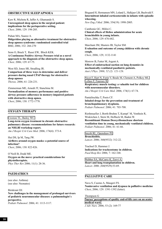# **OBSTRUCTIVE SLEEP APNOEA**

Kaw R, Michota R, Jaffer A, Ghamande S. **Unrecognized sleep apnea in the surgical patient: implications for the perioperative setting.** *Chest,* 2006; 129: 198-205.

Puhan MA, Suarez A. **Didgeridoo playing as alternative treatment for obstructive sleep apnoea syndrome: randomised controlled trial** BMJ, 2006; 332: 266-270

Senn O, Brack T, Russi EW, Bloch KEK. **A Continuous Positive Airway Pressure trial as a novel approach to the diagnosis of the obstructive sleep apnea.** *Chest,* 2006; 129: 67-75.

West SD, Jones SR, Stradling JR. **Comparison of three ways to determine and deliver pressure during nasal CPAP therapy for obstructive sleep apnoea** *Thorax,* 2006; 61: 226-231.

Zimmerman ME, Arnedt JT, Stanchina M. **Normalization of memory performance and positive airway pressure adherence in memory-impaired patients with obstructive sleep apnea.** *Chest*, 2006; 130: 1772-1778.

# **OXYGEN THERAPY**

[Croxton TL, Bailey WC.](http://www.ncbi.nlm.nih.gov/entrez/query.fcgi?db=pubmed&cmd=Retrieve&dopt=AbstractPlus&list_uids=16614349&query_hl=22&itool=pubmed_docsum) **Long-term oxygen treatment in chronic obstructive pulmonary disease: recommendations for future research: an NHLBI workshop report.** *Am J Respir Crit Care Med*. 2006; 174(4): 373-8.

Hui DS, Ip M, Tang JW. **Airflows around oxygen masks: a potential source of infection?** *Chest*, 2006; 130: 822-826.

O'Neill B, Dodd ME. **Oxygen on the move: practical considerations for physiotherapists.** *Phys Ther Rev* 2006; 11(1): 28-36.

# **PAEDIATRICS**

(see also: Asthma) (see also: Neonates)

Birnkrant DJ. **New challenges in the management of prolonged survivors of pediatric neuromuscular diseases: a pulmonologist´s perspective.** *Pediatr Pulmonol.* 2006; 41: 1113-1117.

# Bisgaard H, Hermansen MN, Loland L, Halkjaer LB, Buchvald F. **Intermittent inhaled corticosteroids in infants with episodic wheezing.**

*New Eng J Med.* 2006; 354(19): 1998-2005.

Cambonie GC, Milési C. **Clinical effects of Heliox administration for acute bronchiolitis in young infants.** *Chest*, 2006; 129: 676-682.

Marchant JM, Masters IB, Taylor SM. **Evaluation and outcome of young children with chronic cough.**  *Chest*, 2006; 129, 1132-1141

Morrow B, Futter M, Argent A. **Effect of endotracheal suction on lung dynamics in mechanically-ventilated paediatric patients.** *Aust J Phys. 2006; 52 (2): 121-126.*

[Nicot F, Hart N, Forin V, Boule M, Clement A, Polkey MI,](http://www.ncbi.nlm.nih.gov/entrez/query.fcgi?db=pubmed&cmd=Retrieve&dopt=AbstractPlus&list_uids=16574932&query_hl=15&itool=pubmed_docsum)  [Lofaso F, Fauroux B.](http://www.ncbi.nlm.nih.gov/entrez/query.fcgi?db=pubmed&cmd=Retrieve&dopt=AbstractPlus&list_uids=16574932&query_hl=15&itool=pubmed_docsum) **Respiratory muscle testing: a valuable tool for children with neuromuscular disorders.** *Am J Respir Crit Care Med*. 2006; 174(1): 67-74.

Pantalitschka T, Poets CF. **Inhaled drugs for the prevention and treatment of bronchopulmonary dysplasia.** *Pediatr Pulmonol.* 2006; 41: 703-708.

Riethmueller J, Borth-Bruhns T, Kumpf M, Vonthein R, Wiskirchen J, Stern M, Hofbeck M, Baden W. **Recombinant Human Deoxyribonuclease shortens ventilation time in young, mechanically ventilated children.** *Pediatr Pulmonol.* 2006; 41: 61-66.

[Smyth RL, Openshaw PJ.](http://www.ncbi.nlm.nih.gov/entrez/query.fcgi?db=pubmed&cmd=Retrieve&dopt=AbstractPlus&list_uids=16860701&query_hl=9&itool=pubmed_docsum) **Bronchiolitis.** *Lancet*. 2006; 368(9532): 312-22.

Trachsel D, Hammer J. **Indications for tracheostomy in children.** *Paed Resp Rev* 2006; 7: 162-168.

[Webber SA, McCurry K, Zeevi A.](http://www.ncbi.nlm.nih.gov/entrez/query.fcgi?db=pubmed&cmd=Retrieve&dopt=AbstractPlus&list_uids=16815380&query_hl=12&itool=pubmed_docsum) **Heart and lung transplantation in children.** *Lancet*. 2006 ;368(9529):53-69.

#### **PALLIATIVE CARE**

Nava S, Cuomo A, Maugeri FS. **Noninvasive ventilation and dyspnea in palliative medicine** *Chest*, 2006; 129: 1391-1392 (letter).

Thompson G **[Nurses' perceptions of quality end-of-life care on an acute](http://web.ebscohost.com/ehost/viewarticle?data=dGJyMPPp44rp2%2fdV0%2bnjisfk5Ie46bdQtai2S7ak63nn5Kx95uXxjL6prUq3pbBIrq2eSa%2bws0i4p644v8OkjPDX7Ivf2fKB7eTnfLujsUu0q7ZOrq%2byPurX7H%2b72%2bw%2b4ti7e7bepIzf3btZzJzfhruorki3p7BMs6qxPuTl8IXf6rt%2b8%2bLqbOPu8gAA&hid=107)  [medical ward.](http://web.ebscohost.com/ehost/viewarticle?data=dGJyMPPp44rp2%2fdV0%2bnjisfk5Ie46bdQtai2S7ak63nn5Kx95uXxjL6prUq3pbBIrq2eSa%2bws0i4p644v8OkjPDX7Ivf2fKB7eTnfLujsUu0q7ZOrq%2byPurX7H%2b72%2bw%2b4ti7e7bepIzf3btZzJzfhruorki3p7BMs6qxPuTl8IXf6rt%2b8%2bLqbOPu8gAA&hid=107)** *J Adv Nurs.* 2006; 53 (2): 169-77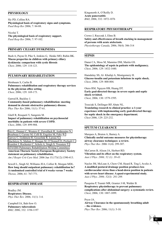# **PHYSIOLOGY**

Sly PD, Collins RA. **Physiological basis of respiratory signs and symptoms.** *Paed Resp Rev* 2006; 7: 84-88.

Nicolai T. **The physiological basis of respiratory support.** *Paed Resp Rev* 2006; 7: 97-102.

# **PRIMARY CILIARY DYSKINESIA**

Bush A, Payne D, Pike S, Jenkins G, Henke MO, Rubin BK. **Mucus properties in children with primary ciliary dyskinesia: comparison with cystic fibrosis** *Chest,* 2006; 129: 118-123.

### **PULMONARY REHABILITATION**

Birnbaum S, Carlin B. **Pulmonary rehabilitation and respiratory therapy services in the physician office setting** *Chest,* 2006; 129: 169-173.

Garrod R, Backley J. **Community-based pulmonary rehabilitation: meeting demand in chronic obstructive pulmonary disease.** *Phys Ther Rev* 2006; 11(1): 57-61.

Güell R, Resqueti V, Sangenis M. **Impact of pulmonary rehabilitation on psychosocial morbidity in patients with severe COPD.** *Chest*, 2006; 129: 899-904.

[Nici L, Donner C, Wouters E, Zuwallack R, Ambrosino N,](http://www.ncbi.nlm.nih.gov/entrez/query.fcgi?db=pubmed&cmd=Retrieve&dopt=AbstractPlus&list_uids=16760357&query_hl=36&itool=pubmed_docsum)  [Bourbeau J, Carone M, Celli B, Engelen M, Fahy B,](http://www.ncbi.nlm.nih.gov/entrez/query.fcgi?db=pubmed&cmd=Retrieve&dopt=AbstractPlus&list_uids=16760357&query_hl=36&itool=pubmed_docsum)  [Garvey C, Goldstein R, Gosselink R, Lareau S,](http://www.ncbi.nlm.nih.gov/entrez/query.fcgi?db=pubmed&cmd=Retrieve&dopt=AbstractPlus&list_uids=16760357&query_hl=36&itool=pubmed_docsum)  [MacIntyre N, Maltais F, Morgan M, O'Donnell D, Prefault C,](http://www.ncbi.nlm.nih.gov/entrez/query.fcgi?db=pubmed&cmd=Retrieve&dopt=AbstractPlus&list_uids=16760357&query_hl=36&itool=pubmed_docsum)  [Reardon J, Rochester C, Schols A, Singh S, Troosters T;](http://www.ncbi.nlm.nih.gov/entrez/query.fcgi?db=pubmed&cmd=Retrieve&dopt=AbstractPlus&list_uids=16760357&query_hl=36&itool=pubmed_docsum)  [ATS/ERS Pulmonary Rehabilitation Writing Committee.](http://www.ncbi.nlm.nih.gov/entrez/query.fcgi?db=pubmed&cmd=Retrieve&dopt=AbstractPlus&list_uids=16760357&query_hl=36&itool=pubmed_docsum) **American Thoracic Society/European Respiratory Society statement on pulmonary rehabilitation.** *Am J Respir Crit Care Med*. 2006 Jun 15;173(12):1390-413.

Sewell L, Singh SJ, Williams JEA, Collier R, Morgan MDL. **How long should outpatient pulmonary rehabilitation be? A randomised controlled trial of 4 weeks versus 7 weeks** *Thorax,* 2006; 61: 767-771.

#### **RESPIRATORY DISEASE**

Bradley JM. **Respiratory Disease.** *Phys Ther Rev.* 2006; 11(1): 3-4.

Campbell IA, Bah-Sow O. **Pulmonary tuberculosis** *BMJ,* 2006; 332: 1194-1197 Kingsnorth A, O'Reilly D. **Acute pancreatitis** *BMJ*, 2006; 332: 1072-1076

### **RESPIRATORY PHYSIOTHERAPY**

Crowe J, Rayczak J, Elms B. **Safety and effectiveness of breath stacking in management of persons with acute atelectasis.**  *Physiotherapy Canada,* 2006; 58(4): 306-314

#### **SEPSIS**

Danai CA, Moss M, Mannino DM, Martin GS. **The epidemiology of sepsis in patients with malignancy.** *Chest*, 2006; 129: 1432-1440.

Hamdulay SS, Al- Khafaji A, Montgomery H. **Glucose-insulin and potassium infusions in septic shock.** *Chest*, 2006; 129: 800-804.

Otero RM, Nguyen HB, Huang DT. **Early goal-directed therapy in severe sepsis and septic shock revisited.** *Chest*, 2006; 130: 1579-1595.

Trzeciak S, Dellinger RP, Abate NL.

**Translating research to clinical practice: a 1-year experience with implementing early goal-directed therapy for septic shock in the emergency department.** *Chest* 2006, 129: 225-232.

# **SPUTUM CLEARANCE**

Marques A, Bruton A, Barney A. **Clinically useful outcome measures for physiotherapy airway clearance techniques: a review.** *Phys Ther Rev.* 2006 11(4): 299-307.

McCarren B, Alison JA, Herbert RD. **Vibration and its effect on the respiratory system.** *Aust J Phys. 2006; 52 (1): 39-43.*

Naylor JM, McLean A, Chow CM, Heard R, Ting I, Avolio A. **A modified postural drainage position produces less cardiovascular stress than a head-down position in patients with severe heart disease: A quasi-experimental study.** *Aust J Phys. 2006; 52(3): 201-209.*

Pasquina P, Tramèr MR, Granier J-M, Walder B. **Respiratory physiotherapy to prevent pulmonary complications after abdominal surgery: a systematic review.** *Chest*, 2006; 130: 1887-1899.

Pryor JA. **Airway Clearance in the spontaneously breathing adult – the evidence.** *Phys Ther Rev.* 2006; 11(1): 5-10.